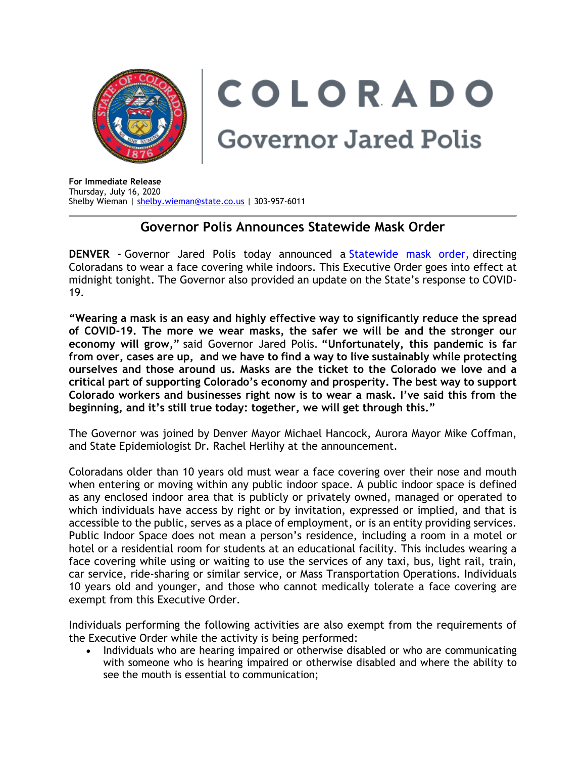

COLORADO **Governor Jared Polis** 

**For Immediate Release** Thursday, July 16, 2020 Shelby Wieman | [shelby.wieman@state.co.us](mailto:shelby.wieman@state.co.us) | 303-957-6011

## **Governor Polis Announces Statewide Mask Order**

**DENVER -** Governor Jared Polis today announced a [Statewide](https://urldefense.proofpoint.com/v2/url?u=https-3A__drive.google.com_file_d_1KQPWakSWyOY7utsi2rbkaWKw9Ugo6NIq_view-3Fusp-3Dsharing&d=DwMFaQ&c=sdnEM9SRGFuMt5z5w3AhsPNahmNicq64TgF1JwNR0cs&r=_NtJjyItapHTtR0gQn3C1o3RqsEg3bTbEVZzVQwnWbg&m=brXEQciEllGkzE7CciXHU93aQYKV1TKlFzVspVMHdwk&s=LUAKXs_yHe_NRKzG9hc-maRaDOAP8fU6CzjkeLw8kv0&e=) mask order, directing Coloradans to wear a face covering while indoors. This Executive Order goes into effect at midnight tonight. The Governor also provided an update on the State's response to COVID-19.

**"Wearing a mask is an easy and highly effective way to significantly reduce the spread of COVID-19. The more we wear masks, the safer we will be and the stronger our economy will grow,"** said Governor Jared Polis. **"Unfortunately, this pandemic is far from over, cases are up, and we have to find a way to live sustainably while protecting ourselves and those around us. Masks are the ticket to the Colorado we love and a critical part of supporting Colorado's economy and prosperity. The best way to support Colorado workers and businesses right now is to wear a mask. I've said this from the beginning, and it's still true today: together, we will get through this."**

The Governor was joined by Denver Mayor Michael Hancock, Aurora Mayor Mike Coffman, and State Epidemiologist Dr. Rachel Herlihy at the announcement.

Coloradans older than 10 years old must wear a face covering over their nose and mouth when entering or moving within any public indoor space. A public indoor space is defined as any enclosed indoor area that is publicly or privately owned, managed or operated to which individuals have access by right or by invitation, expressed or implied, and that is accessible to the public, serves as a place of employment, or is an entity providing services. Public Indoor Space does not mean a person's residence, including a room in a motel or hotel or a residential room for students at an educational facility. This includes wearing a face covering while using or waiting to use the services of any taxi, bus, light rail, train, car service, ride-sharing or similar service, or Mass Transportation Operations. Individuals 10 years old and younger, and those who cannot medically tolerate a face covering are exempt from this Executive Order.

Individuals performing the following activities are also exempt from the requirements of the Executive Order while the activity is being performed:

• Individuals who are hearing impaired or otherwise disabled or who are communicating with someone who is hearing impaired or otherwise disabled and where the ability to see the mouth is essential to communication;